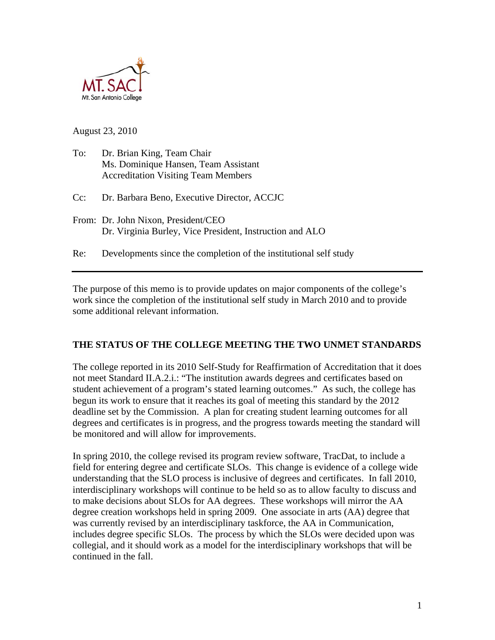

August 23, 2010

To: Dr. Brian King, Team Chair Ms. Dominique Hansen, Team Assistant Accreditation Visiting Team Members

Cc: Dr. Barbara Beno, Executive Director, ACCJC

From: Dr. John Nixon, President/CEO Dr. Virginia Burley, Vice President, Instruction and ALO

Re: Developments since the completion of the institutional self study

The purpose of this memo is to provide updates on major components of the college's work since the completion of the institutional self study in March 2010 and to provide some additional relevant information.

### **THE STATUS OF THE COLLEGE MEETING THE TWO UNMET STANDARDS**

The college reported in its 2010 Self-Study for Reaffirmation of Accreditation that it does not meet Standard II.A.2.i.: "The institution awards degrees and certificates based on student achievement of a program's stated learning outcomes." As such, the college has begun its work to ensure that it reaches its goal of meeting this standard by the 2012 deadline set by the Commission. A plan for creating student learning outcomes for all degrees and certificates is in progress, and the progress towards meeting the standard will be monitored and will allow for improvements.

In spring 2010, the college revised its program review software, TracDat, to include a field for entering degree and certificate SLOs. This change is evidence of a college wide understanding that the SLO process is inclusive of degrees and certificates. In fall 2010, interdisciplinary workshops will continue to be held so as to allow faculty to discuss and to make decisions about SLOs for AA degrees. These workshops will mirror the AA degree creation workshops held in spring 2009. One associate in arts (AA) degree that was currently revised by an interdisciplinary taskforce, the AA in Communication, includes degree specific SLOs. The process by which the SLOs were decided upon was collegial, and it should work as a model for the interdisciplinary workshops that will be continued in the fall.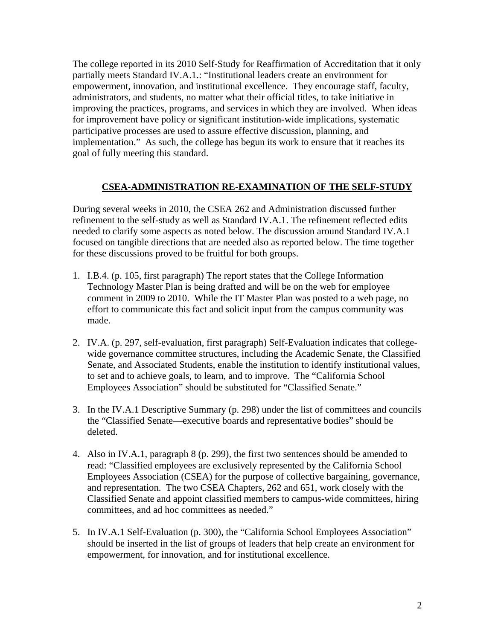The college reported in its 2010 Self-Study for Reaffirmation of Accreditation that it only partially meets Standard IV.A.1.: "Institutional leaders create an environment for empowerment, innovation, and institutional excellence. They encourage staff, faculty, administrators, and students, no matter what their official titles, to take initiative in improving the practices, programs, and services in which they are involved. When ideas for improvement have policy or significant institution-wide implications, systematic participative processes are used to assure effective discussion, planning, and implementation." As such, the college has begun its work to ensure that it reaches its goal of fully meeting this standard.

### **CSEA-ADMINISTRATION RE-EXAMINATION OF THE SELF-STUDY**

During several weeks in 2010, the CSEA 262 and Administration discussed further refinement to the self-study as well as Standard IV.A.1. The refinement reflected edits needed to clarify some aspects as noted below. The discussion around Standard IV.A.1 focused on tangible directions that are needed also as reported below. The time together for these discussions proved to be fruitful for both groups.

- 1. I.B.4. (p. 105, first paragraph) The report states that the College Information Technology Master Plan is being drafted and will be on the web for employee comment in 2009 to 2010. While the IT Master Plan was posted to a web page, no effort to communicate this fact and solicit input from the campus community was made.
- 2.IV.A. (p. 297, self-evaluation, first paragraph) Self-Evaluation indicates that collegewide governance committee structures, including the Academic Senate, the Classified Senate, and Associated Students, enable the institution to identify institutional values, to set and to achieve goals, to learn, and to improve. The "California School Employees Association" should be substituted for "Classified Senate."
- 3.In the IV.A.1 Descriptive Summary (p. 298) under the list of committees and councils the "Classified Senate—executive boards and representative bodies" should be deleted.
- 4.Also in IV.A.1, paragraph 8 (p. 299), the first two sentences should be amended to read: "Classified employees are exclusively represented by the California School Employees Association (CSEA) for the purpose of collective bargaining, governance, and representation. The two CSEA Chapters, 262 and 651, work closely with the Classified Senate and appoint classified members to campus-wide committees, hiring committees, and ad hoc committees as needed."
- 5. In IV.A.1 Self-Evaluation (p. 300), the "California School Employees Association" should be inserted in the list of groups of leaders that help create an environment for empowerment, for innovation, and for institutional excellence.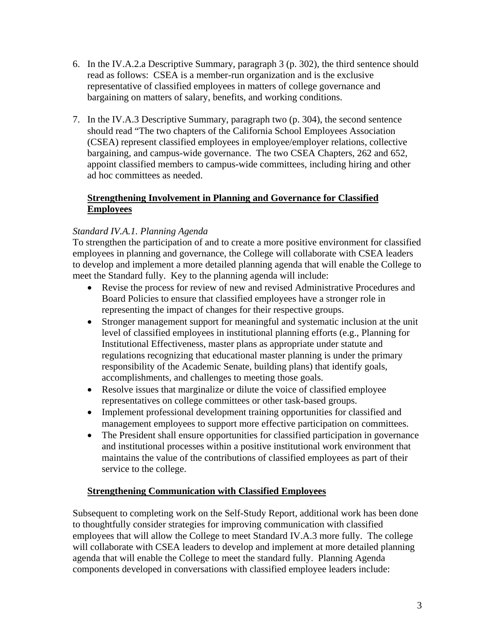- 6.In the IV.A.2.a Descriptive Summary, paragraph 3 (p. 302), the third sentence should read as follows: CSEA is a member-run organization and is the exclusive representative of classified employees in matters of college governance and bargaining on matters of salary, benefits, and working conditions.
- 7. In the IV.A.3 Descriptive Summary, paragraph two (p. 304), the second sentence should read "The two chapters of the California School Employees Association (CSEA) represent classified employees in employee/employer relations, collective bargaining, and campus-wide governance. The two CSEA Chapters, 262 and 652, appoint classified members to campus-wide committees, including hiring and other ad hoc committees as needed.

## **EmployeesStrengthening Involvement in Planning and Governance for Classified**

# *Standard IV.A.1. Planning Agenda*

To strengthen the participation of and to create a more positive environment for classified employees in planning and governance, the College will collaborate with CSEA leaders to develop and implement a more detailed planning agenda that will enable the College to meet the Standard fully. Key to the planning agenda will include:

- Revise the process for review of new and revised Administrative Procedures and Board Policies to ensure that classified employees have a stronger role in representing the impact of changes for their respective groups.
- Stronger management support for meaningful and systematic inclusion at the unit level of classified employees in institutional planning efforts (e.g., Planning for Institutional Effectiveness, master plans as appropriate under statute and regulations recognizing that educational master planning is under the primary responsibility of the Academic Senate, building plans) that identify goals, accomplishments, and challenges to meeting those goals.
- Resolve issues that marginalize or dilute the voice of classified employee representatives on college committees or other task-based groups.
- Implement professional development training opportunities for classified and management employees to support more effective participation on committees.
- The President shall ensure opportunities for classified participation in governance and institutional processes within a positive institutional work environment that maintains the value of the contributions of classified employees as part of their service to the college.

### **Strengthening Communication with Classified Employees**

Subsequent to completing work on the Self-Study Report, additional work has been done to thoughtfully consider strategies for improving communication with classified employees that will allow the College to meet Standard IV.A.3 more fully. The college will collaborate with CSEA leaders to develop and implement at more detailed planning agenda that will enable the College to meet the standard fully. Planning Agenda components developed in conversations with classified employee leaders include: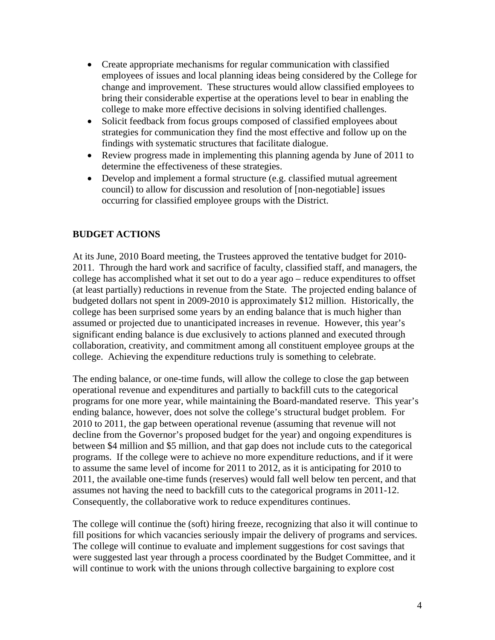- Create appropriate mechanisms for regular communication with classified employees of issues and local planning ideas being considered by the College for change and improvement. These structures would allow classified employees to bring their considerable expertise at the operations level to bear in enabling the college to make more effective decisions in solving identified challenges.
- Solicit feedback from focus groups composed of classified employees about strategies for communication they find the most effective and follow up on the findings with systematic structures that facilitate dialogue.
- Review progress made in implementing this planning agenda by June of 2011 to determine the effectiveness of these strategies.
- Develop and implement a formal structure (e.g. classified mutual agreement council) to allow for discussion and resolution of [non-negotiable] issues occurring for classified employee groups with the District.

### **BUDGET ACTIONS**

At its June, 2010 Board meeting, the Trustees approved the tentative budget for 2010- 2011. Through the hard work and sacrifice of faculty, classified staff, and managers, the college has accomplished what it set out to do a year ago – reduce expenditures to offset (at least partially) reductions in revenue from the State. The projected ending balance of budgeted dollars not spent in 2009-2010 is approximately \$12 million. Historically, the college has been surprised some years by an ending balance that is much higher than assumed or projected due to unanticipated increases in revenue. However, this year's significant ending balance is due exclusively to actions planned and executed through collaboration, creativity, and commitment among all constituent employee groups at the college. Achieving the expenditure reductions truly is something to celebrate.

The ending balance, or one-time funds, will allow the college to close the gap between operational revenue and expenditures and partially to backfill cuts to the categorical programs for one more year, while maintaining the Board-mandated reserve. This year's ending balance, however, does not solve the college's structural budget problem. For 2010 to 2011, the gap between operational revenue (assuming that revenue will not decline from the Governor's proposed budget for the year) and ongoing expenditures is between \$4 million and \$5 million, and that gap does not include cuts to the categorical programs. If the college were to achieve no more expenditure reductions, and if it were to assume the same level of income for 2011 to 2012, as it is anticipating for 2010 to 2011, the available one-time funds (reserves) would fall well below ten percent, and that assumes not having the need to backfill cuts to the categorical programs in 2011-12. Consequently, the collaborative work to reduce expenditures continues.

The college will continue the (soft) hiring freeze, recognizing that also it will continue to fill positions for which vacancies seriously impair the delivery of programs and services. The college will continue to evaluate and implement suggestions for cost savings that were suggested last year through a process coordinated by the Budget Committee, and it will continue to work with the unions through collective bargaining to explore cost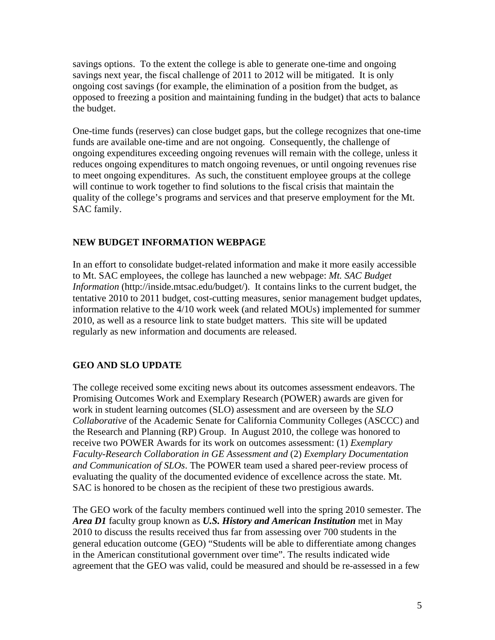savings options. To the extent the college is able to generate one-time and ongoing savings next year, the fiscal challenge of 2011 to 2012 will be mitigated. It is only ongoing cost savings (for example, the elimination of a position from the budget, as opposed to freezing a position and maintaining funding in the budget) that acts to balance the budget.

One-time funds (reserves) can close budget gaps, but the college recognizes that one-time funds are available one-time and are not ongoing. Consequently, the challenge of ongoing expenditures exceeding ongoing revenues will remain with the college, unless it reduces ongoing expenditures to match ongoing revenues, or until ongoing revenues rise to meet ongoing expenditures. As such, the constituent employee groups at the college will continue to work together to find solutions to the fiscal crisis that maintain the quality of the college's programs and services and that preserve employment for the Mt. SAC family.

#### **NEW BUDGET INFORMATION WEBPAGE**

In an effort to consolidate budget-related information and make it more easily accessible to Mt. SAC employees, the college has launched a new webpage: *Mt. SAC Budget Information* (http://inside.mtsac.edu/budget/). It contains links to the current budget, the tentative 2010 to 2011 budget, cost-cutting measures, senior management budget updates, information relative to the 4/10 work week (and related MOUs) implemented for summer 2010, as well as a resource link to state budget matters. This site will be updated regularly as new information and documents are released.

#### **GEO AND SLO UPDATE**

The college received some exciting news about its outcomes assessment endeavors. The Promising Outcomes Work and Exemplary Research (POWER) awards are given for work in student learning outcomes (SLO) assessment and are overseen by the *SLO Collaborative* of the Academic Senate for California Community Colleges (ASCCC) and the Research and Planning (RP) Group. In August 2010, the college was honored to receive two POWER Awards for its work on outcomes assessment: (1) *Exemplary Faculty-Research Collaboration in GE Assessment and* (2) *Exemplary Documentation and Communication of SLOs*. The POWER team used a shared peer-review process of evaluating the quality of the documented evidence of excellence across the state. Mt. SAC is honored to be chosen as the recipient of these two prestigious awards.

The GEO work of the faculty members continued well into the spring 2010 semester. The *Area D1* faculty group known as *U.S. History and American Institution* met in May 2010 to discuss the results received thus far from assessing over 700 students in the general education outcome (GEO) "Students will be able to differentiate among changes in the American constitutional government over time". The results indicated wide agreement that the GEO was valid, could be measured and should be re-assessed in a few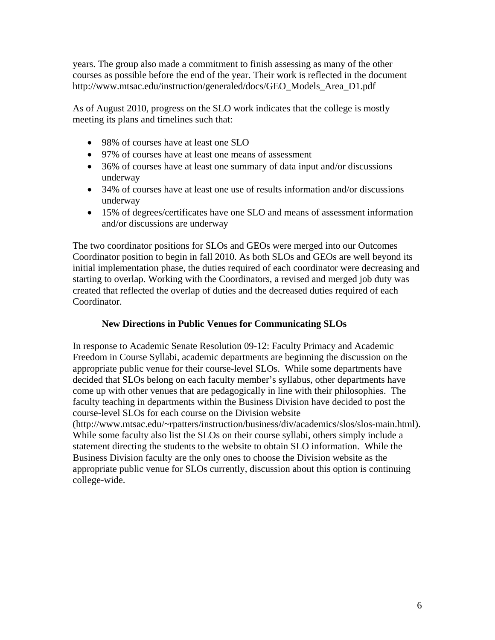years. The group also made a commitment to finish assessing as many of the other courses as possible before the end of the year. Their work is reflected in the document http://www.mtsac.edu/instruction/generaled/docs/GEO\_Models\_Area\_D1.pdf

As of August 2010, progress on the SLO work indicates that the college is mostly meeting its plans and timelines such that:

- 98% of courses have at least one SLO
- 97% of courses have at least one means of assessment
- 36% of courses have at least one summary of data input and/or discussions underway
- 34% of courses have at least one use of results information and/or discussions underway
- 15% of degrees/certificates have one SLO and means of assessment information and/or discussions are underway

The two coordinator positions for SLOs and GEOs were merged into our Outcomes Coordinator position to begin in fall 2010. As both SLOs and GEOs are well beyond its initial implementation phase, the duties required of each coordinator were decreasing and starting to overlap. Working with the Coordinators, a revised and merged job duty was created that reflected the overlap of duties and the decreased duties required of each Coordinator.

## **New Directions in Public Venues for Communicating SLOs**

In response to Academic Senate Resolution 09-12: Faculty Primacy and Academic Freedom in Course Syllabi, academic departments are beginning the discussion on the appropriate public venue for their course-level SLOs. While some departments have decided that SLOs belong on each faculty member's syllabus, other departments have come up with other venues that are pedagogically in line with their philosophies. The faculty teaching in departments within the Business Division have decided to post the course-level SLOs for each course on the Division website

(http://www.mtsac.edu/~rpatters/instruction/business/div/academics/slos/slos-main.html). While some faculty also list the SLOs on their course syllabi, others simply include a statement directing the students to the website to obtain SLO information. While the Business Division faculty are the only ones to choose the Division website as the appropriate public venue for SLOs currently, discussion about this option is continuing college-wide.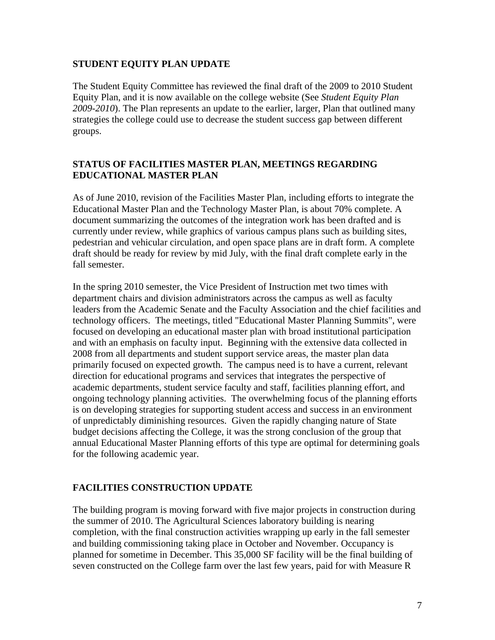#### **STUDENT EQUITY PLAN UPDATE**

The Student Equity Committee has reviewed the final draft of the 2009 to 2010 Student Equity Plan, and it is now available on the college website (See *Student Equity Plan 2009-2010*). The Plan represents an update to the earlier, larger, Plan that outlined many strategies the college could use to decrease the student success gap between different groups.

## **STATUS OF FACILITIES MASTER PLAN, MEETINGS REGARDING EDUCATIONAL MASTER PLAN**

As of June 2010, revision of the Facilities Master Plan, including efforts to integrate the Educational Master Plan and the Technology Master Plan, is about 70% complete. A document summarizing the outcomes of the integration work has been drafted and is currently under review, while graphics of various campus plans such as building sites, pedestrian and vehicular circulation, and open space plans are in draft form. A complete draft should be ready for review by mid July, with the final draft complete early in the fall semester.

In the spring 2010 semester, the Vice President of Instruction met two times with department chairs and division administrators across the campus as well as faculty leaders from the Academic Senate and the Faculty Association and the chief facilities and technology officers. The meetings, titled "Educational Master Planning Summits", were focused on developing an educational master plan with broad institutional participation and with an emphasis on faculty input. Beginning with the extensive data collected in 2008 from all departments and student support service areas, the master plan data primarily focused on expected growth. The campus need is to have a current, relevant direction for educational programs and services that integrates the perspective of academic departments, student service faculty and staff, facilities planning effort, and ongoing technology planning activities. The overwhelming focus of the planning efforts is on developing strategies for supporting student access and success in an environment of unpredictably diminishing resources. Given the rapidly changing nature of State budget decisions affecting the College, it was the strong conclusion of the group that annual Educational Master Planning efforts of this type are optimal for determining goals for the following academic year.

### **FACILITIES CONSTRUCTION UPDATE**

The building program is moving forward with five major projects in construction during the summer of 2010. The Agricultural Sciences laboratory building is nearing completion, with the final construction activities wrapping up early in the fall semester and building commissioning taking place in October and November. Occupancy is planned for sometime in December. This 35,000 SF facility will be the final building of seven constructed on the College farm over the last few years, paid for with Measure R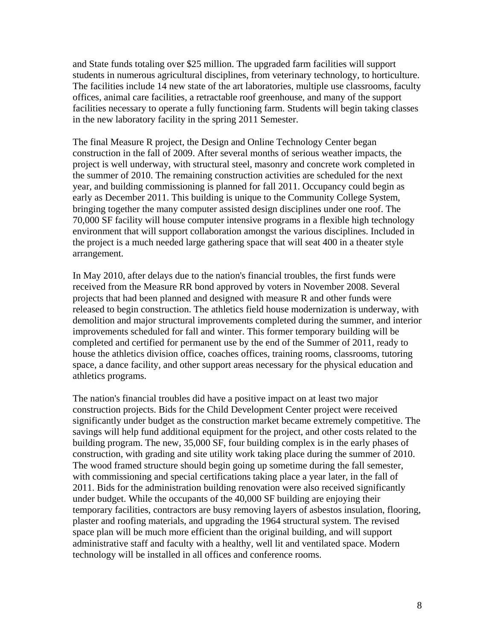and State funds totaling over \$25 million. The upgraded farm facilities will support students in numerous agricultural disciplines, from veterinary technology, to horticulture. The facilities include 14 new state of the art laboratories, multiple use classrooms, faculty offices, animal care facilities, a retractable roof greenhouse, and many of the support facilities necessary to operate a fully functioning farm. Students will begin taking classes in the new laboratory facility in the spring 2011 Semester.

The final Measure R project, the Design and Online Technology Center began construction in the fall of 2009. After several months of serious weather impacts, the project is well underway, with structural steel, masonry and concrete work completed in the summer of 2010. The remaining construction activities are scheduled for the next year, and building commissioning is planned for fall 2011. Occupancy could begin as early as December 2011. This building is unique to the Community College System, bringing together the many computer assisted design disciplines under one roof. The 70,000 SF facility will house computer intensive programs in a flexible high technology environment that will support collaboration amongst the various disciplines. Included in the project is a much needed large gathering space that will seat 400 in a theater style arrangement.

In May 2010, after delays due to the nation's financial troubles, the first funds were received from the Measure RR bond approved by voters in November 2008. Several projects that had been planned and designed with measure R and other funds were released to begin construction. The athletics field house modernization is underway, with demolition and major structural improvements completed during the summer, and interior improvements scheduled for fall and winter. This former temporary building will be completed and certified for permanent use by the end of the Summer of 2011, ready to house the athletics division office, coaches offices, training rooms, classrooms, tutoring space, a dance facility, and other support areas necessary for the physical education and athletics programs.

The nation's financial troubles did have a positive impact on at least two major construction projects. Bids for the Child Development Center project were received significantly under budget as the construction market became extremely competitive. The savings will help fund additional equipment for the project, and other costs related to the building program. The new, 35,000 SF, four building complex is in the early phases of construction, with grading and site utility work taking place during the summer of 2010. The wood framed structure should begin going up sometime during the fall semester, with commissioning and special certifications taking place a year later, in the fall of 2011. Bids for the administration building renovation were also received significantly under budget. While the occupants of the 40,000 SF building are enjoying their temporary facilities, contractors are busy removing layers of asbestos insulation, flooring, plaster and roofing materials, and upgrading the 1964 structural system. The revised space plan will be much more efficient than the original building, and will support administrative staff and faculty with a healthy, well lit and ventilated space. Modern technology will be installed in all offices and conference rooms.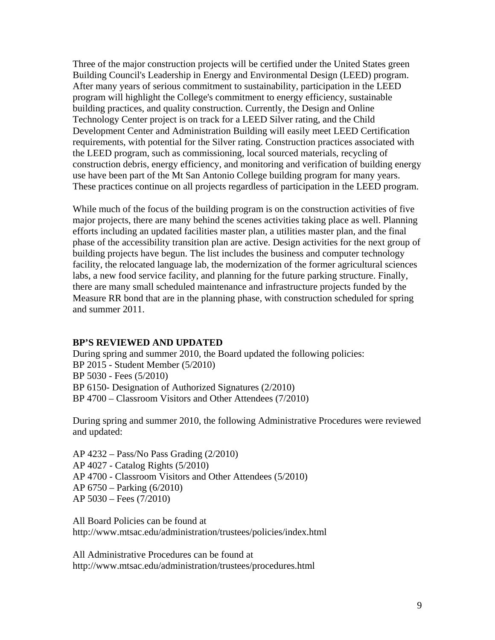Three of the major construction projects will be certified under the United States green Building Council's Leadership in Energy and Environmental Design (LEED) program. After many years of serious commitment to sustainability, participation in the LEED program will highlight the College's commitment to energy efficiency, sustainable building practices, and quality construction. Currently, the Design and Online Technology Center project is on track for a LEED Silver rating, and the Child Development Center and Administration Building will easily meet LEED Certification requirements, with potential for the Silver rating. Construction practices associated with the LEED program, such as commissioning, local sourced materials, recycling of construction debris, energy efficiency, and monitoring and verification of building energy use have been part of the Mt San Antonio College building program for many years. These practices continue on all projects regardless of participation in the LEED program.

While much of the focus of the building program is on the construction activities of five major projects, there are many behind the scenes activities taking place as well. Planning efforts including an updated facilities master plan, a utilities master plan, and the final phase of the accessibility transition plan are active. Design activities for the next group of building projects have begun. The list includes the business and computer technology facility, the relocated language lab, the modernization of the former agricultural sciences labs, a new food service facility, and planning for the future parking structure. Finally, there are many small scheduled maintenance and infrastructure projects funded by the Measure RR bond that are in the planning phase, with construction scheduled for spring and summer 2011.

#### **BP'S REVIEWED AND UPDATED**

During spring and summer 2010, the Board updated the following policies: BP 2015 - Student Member (5/2010) BP 5030 - Fees (5/2010) BP 6150- Designation of Authorized Signatures (2/2010) BP 4700 – Classroom Visitors and Other Attendees (7/2010)

During spring and summer 2010, the following Administrative Procedures were reviewed and updated:

AP 4232 – Pass/No Pass Grading (2/2010) AP 4027 - Catalog Rights (5/2010) AP 4700 - Classroom Visitors and Other Attendees (5/2010) AP 6750 – Parking (6/2010) AP 5030 – Fees (7/2010)

http://www.mtsac.edu/administration/trustees/policies/index.html<br>All Administrative Procedures can be found at All Board Policies can be found at

http://www.mtsac.edu/administration/trustees/procedures.html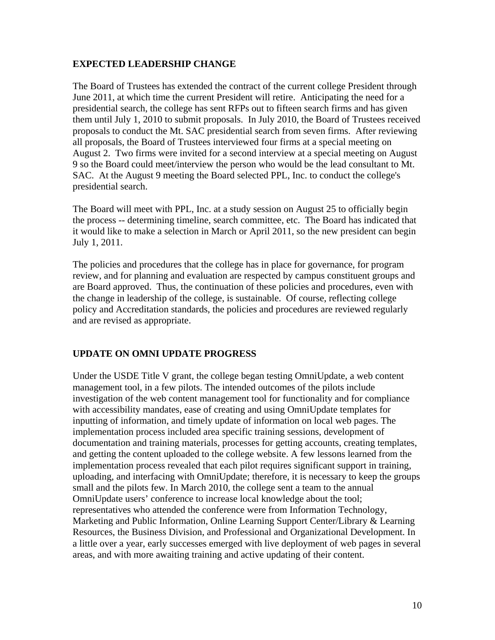#### **EXPECTED LEADERSHIP CHANGE**

The Board of Trustees has extended the contract of the current college President through June 2011, at which time the current President will retire. Anticipating the need for a presidential search, the college has sent RFPs out to fifteen search firms and has given them until July 1, 2010 to submit proposals. In July 2010, the Board of Trustees received proposals to conduct the Mt. SAC presidential search from seven firms. After reviewing all proposals, the Board of Trustees interviewed four firms at a special meeting on August 2. Two firms were invited for a second interview at a special meeting on August 9 so the Board could meet/interview the person who would be the lead consultant to Mt. SAC. At the August 9 meeting the Board selected PPL, Inc. to conduct the college's presidential search.

The Board will meet with PPL, Inc. at a study session on August 25 to officially begin the process -- determining timeline, search committee, etc. The Board has indicated that it would like to make a selection in March or April 2011, so the new president can begin July 1, 2011.

The policies and procedures that the college has in place for governance, for program review, and for planning and evaluation are respected by campus constituent groups and are Board approved. Thus, the continuation of these policies and procedures, even with the change in leadership of the college, is sustainable. Of course, reflecting college policy and Accreditation standards, the policies and procedures are reviewed regularly and are revised as appropriate.

### **UPDATE ON OMNI UPDATE PROGRESS**

Under the USDE Title V grant, the college began testing OmniUpdate, a web content management tool, in a few pilots. The intended outcomes of the pilots include investigation of the web content management tool for functionality and for compliance with accessibility mandates, ease of creating and using OmniUpdate templates for inputting of information, and timely update of information on local web pages. The implementation process included area specific training sessions, development of documentation and training materials, processes for getting accounts, creating templates, and getting the content uploaded to the college website. A few lessons learned from the implementation process revealed that each pilot requires significant support in training, uploading, and interfacing with OmniUpdate; therefore, it is necessary to keep the groups small and the pilots few. In March 2010, the college sent a team to the annual OmniUpdate users' conference to increase local knowledge about the tool; representatives who attended the conference were from Information Technology, Marketing and Public Information, Online Learning Support Center/Library & Learning Resources, the Business Division, and Professional and Organizational Development. In a little over a year, early successes emerged with live deployment of web pages in several areas, and with more awaiting training and active updating of their content.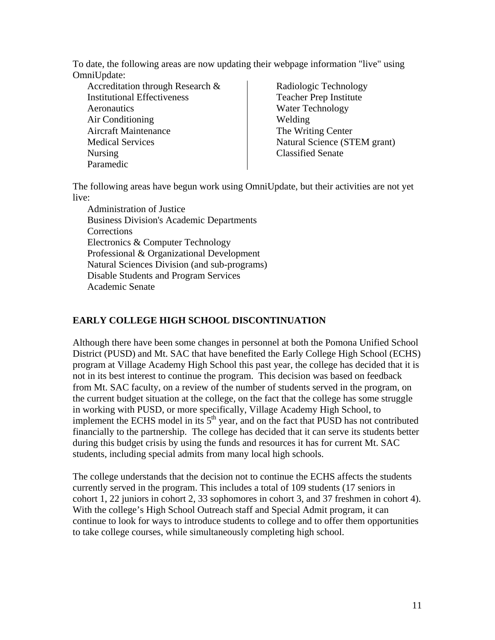To date, the following areas are now updating their webpage information "live" using OmniUpdate:

Accreditation through Research & Institutional Effectiveness **Aeronautics** Air Conditioning Aircraft Maintenance Medical Services Nursing Paramedic

Radiologic Technology Teacher Prep Institute Water Technology Welding The Writing Center Natural Science (STEM grant) Classified Senate

The following areas have begun work using OmniUpdate, but their activities are not yet live:

Administration of Justice Business Division's Academic Departments Corrections Electronics & Computer Technology Professional & Organizational Development Natural Sciences Division (and sub-programs) Disable Students and Program Services Academic Senate

# **EARLY COLLEGE HIGH SCHOOL DISCONTINUATION**

Although there have been some changes in personnel at both the Pomona Unified School District (PUSD) and Mt. SAC that have benefited the Early College High School (ECHS) program at Village Academy High School this past year, the college has decided that it is not in its best interest to continue the program. This decision was based on feedback from Mt. SAC faculty, on a review of the number of students served in the program, on the current budget situation at the college, on the fact that the college has some struggle in working with PUSD, or more specifically, Village Academy High School, to implement the ECHS model in its  $5<sup>th</sup>$  year, and on the fact that PUSD has not contributed financially to the partnership. The college has decided that it can serve its students better during this budget crisis by using the funds and resources it has for current Mt. SAC students, including special admits from many local high schools.

The college understands that the decision not to continue the ECHS affects the students currently served in the program. This includes a total of 109 students (17 seniors in cohort 1, 22 juniors in cohort 2, 33 sophomores in cohort 3, and 37 freshmen in cohort 4). With the college's High School Outreach staff and Special Admit program, it can continue to look for ways to introduce students to college and to offer them opportunities to take college courses, while simultaneously completing high school.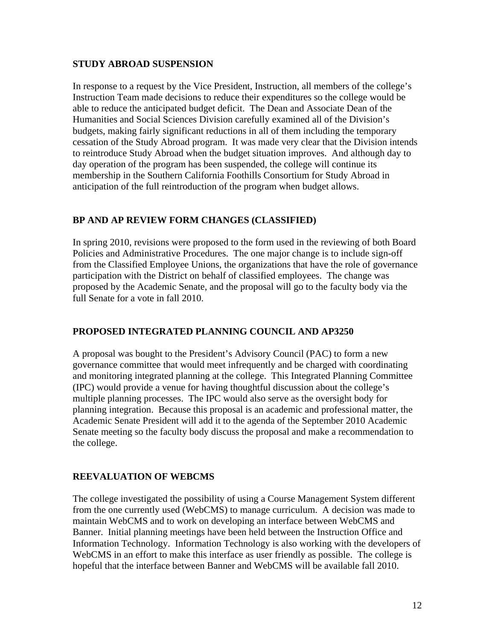#### **STUDY ABROAD SUSPENSION**

In response to a request by the Vice President, Instruction, all members of the college's Instruction Team made decisions to reduce their expenditures so the college would be able to reduce the anticipated budget deficit. The Dean and Associate Dean of the Humanities and Social Sciences Division carefully examined all of the Division's budgets, making fairly significant reductions in all of them including the temporary cessation of the Study Abroad program. It was made very clear that the Division intends to reintroduce Study Abroad when the budget situation improves. And although day to day operation of the program has been suspended, the college will continue its membership in the Southern California Foothills Consortium for Study Abroad in anticipation of the full reintroduction of the program when budget allows.

### **BP AND AP REVIEW FORM CHANGES (CLASSIFIED)**

In spring 2010, revisions were proposed to the form used in the reviewing of both Board Policies and Administrative Procedures. The one major change is to include sign-off from the Classified Employee Unions, the organizations that have the role of governance participation with the District on behalf of classified employees. The change was proposed by the Academic Senate, and the proposal will go to the faculty body via the full Senate for a vote in fall 2010.

### **PROPOSED INTEGRATED PLANNING COUNCIL AND AP3250**

A proposal was bought to the President's Advisory Council (PAC) to form a new governance committee that would meet infrequently and be charged with coordinating and monitoring integrated planning at the college. This Integrated Planning Committee (IPC) would provide a venue for having thoughtful discussion about the college's multiple planning processes. The IPC would also serve as the oversight body for planning integration. Because this proposal is an academic and professional matter, the Academic Senate President will add it to the agenda of the September 2010 Academic Senate meeting so the faculty body discuss the proposal and make a recommendation to the college.

### **REEVALUATION OF WEBCMS**

The college investigated the possibility of using a Course Management System different from the one currently used (WebCMS) to manage curriculum. A decision was made to maintain WebCMS and to work on developing an interface between WebCMS and Banner. Initial planning meetings have been held between the Instruction Office and Information Technology. Information Technology is also working with the developers of WebCMS in an effort to make this interface as user friendly as possible. The college is hopeful that the interface between Banner and WebCMS will be available fall 2010.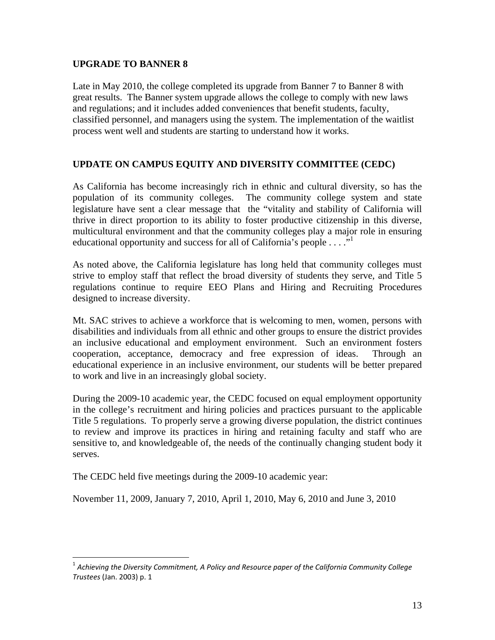#### **UPGRADE TO BANNER 8**

Late in May 2010, the college completed its upgrade from Banner 7 to Banner 8 with great results. The Banner system upgrade allows the college to comply with new laws and regulations; and it includes added conveniences that benefit students, faculty, classified personnel, and managers using the system. The implementation of the waitlist process went well and students are starting to understand how it works.

### **UPDATE ON CAMPUS EQUITY AND DIVERSITY COMMITTEE (CEDC)**

As California has become increasingly rich in ethnic and cultural diversity, so has the population of its community colleges. The community college system and state legislature have sent a clear message that the "vitality and stability of California will thrive in direct proportion to its ability to foster productive citizenship in this diverse, multicultural environment and that the community colleges play a major role in ensuring educational opportunity and success for all of California's people  $\dots$ ."

As noted above, the California legislature has long held that community colleges must strive to employ staff that reflect the broad diversity of students they serve, and Title 5 regulations continue to require EEO Plans and Hiring and Recruiting Procedures designed to increase diversity.

Mt. SAC strives to achieve a workforce that is welcoming to men, women, persons with disabilities and individuals from all ethnic and other groups to ensure the district provides an inclusive educational and employment environment. Such an environment fosters cooperation, acceptance, democracy and free expression of ideas. Through an educational experience in an inclusive environment, our students will be better prepared to work and live in an increasingly global society.

During the 2009-10 academic year, the CEDC focused on equal employment opportunity in the college's recruitment and hiring policies and practices pursuant to the applicable Title 5 regulations. To properly serve a growing diverse population, the district continues to review and improve its practices in hiring and retaining faculty and staff who are sensitive to, and knowledgeable of, the needs of the continually changing student body it serves.

The CEDC held five meetings during the 2009-10 academic year:

1

November 11, 2009, January 7, 2010, April 1, 2010, May 6, 2010 and June 3, 2010

 $^{\rm 1}$  Achieving the Diversity Commitment, A Policy and Resource paper of the California Community College *Trustees* (Jan. 2003) p. 1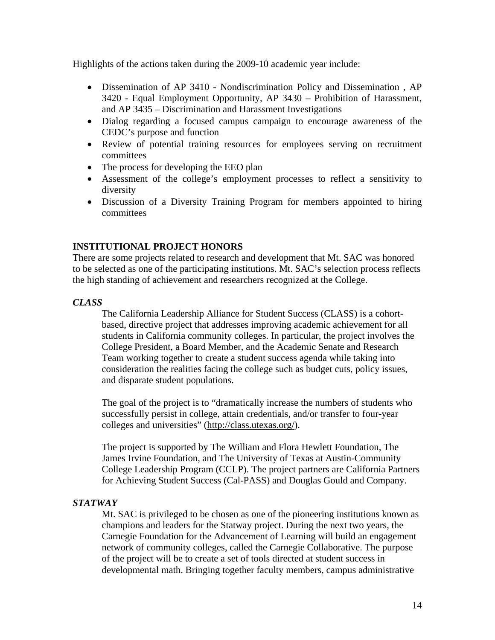Highlights of the actions taken during the 2009-10 academic year include:

- Dissemination of AP 3410 Nondiscrimination Policy and Dissemination , AP 3420 - Equal Employment Opportunity, AP 3430 – Prohibition of Harassment, and AP 3435 – Discrimination and Harassment Investigations
- Dialog regarding a focused campus campaign to encourage awareness of the CEDC's purpose and function
- Review of potential training resources for employees serving on recruitment committees
- The process for developing the EEO plan
- Assessment of the college's employment processes to reflect a sensitivity to diversity
- Discussion of a Diversity Training Program for members appointed to hiring committees

### **INSTITUTIONAL PROJECT HONORS**

There are some projects related to research and development that Mt. SAC was honored to be selected as one of the participating institutions. Mt. SAC's selection process reflects the high standing of achievement and researchers recognized at the College.

#### *CLASS*

The California Leadership Alliance for Student Success (CLASS) is a cohortbased, directive project that addresses improving academic achievement for all students in California community colleges. In particular, the project involves the College President, a Board Member, and the Academic Senate and Research Team working together to create a student success agenda while taking into consideration the realities facing the college such as budget cuts, policy issues, and disparate student populations.

The goal of the project is to "dramatically increase the numbers of students who successfully persist in college, attain credentials, and/or transfer to four-year colleges and universities" (http://class.utexas.org/).

The project is supported by The William and Flora Hewlett Foundation, The James Irvine Foundation, and The University of Texas at Austin-Community College Leadership Program (CCLP). The project partners are California Partners for Achieving Student Success (Cal-PASS) and Douglas Gould and Company.

### *STATWAY*

Mt. SAC is privileged to be chosen as one of the pioneering institutions known as champions and leaders for the Statway project. During the next two years, the Carnegie Foundation for the Advancement of Learning will build an engagement network of community colleges, called the Carnegie Collaborative. The purpose of the project will be to create a set of tools directed at student success in developmental math. Bringing together faculty members, campus administrative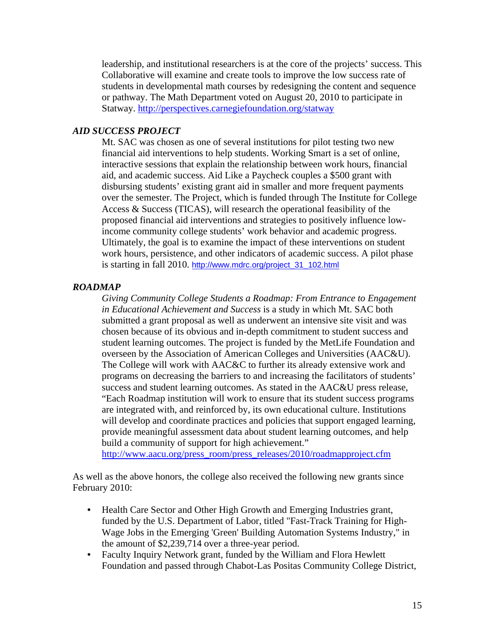leadership, and institutional researchers is at the core of the projects' success. This Collaborative will examine and create tools to improve the low success rate of students in developmental math courses by redesigning the content and sequence or pathway. The Math Department voted on August 20, 2010 to participate in Statway. http://perspectives.carnegiefoundation.org/statway

#### *AID SUCCESS PROJECT*

Mt. SAC was chosen as one of several institutions for pilot testing two new financial aid interventions to help students. Working Smart is a set of online, interactive sessions that explain the relationship between work hours, financial aid, and academic success. Aid Like a Paycheck couples a \$500 grant with disbursing students' existing grant aid in smaller and more frequent payments over the semester. The Project, which is funded through The Institute for College Access & Success (TICAS), will research the operational feasibility of the proposed financial aid interventions and strategies to positively influence lowincome community college students' work behavior and academic progress. Ultimately, the goal is to examine the impact of these interventions on student work hours, persistence, and other indicators of academic success. A pilot phase is starting in fall 2010. http://www.mdrc.org/project\_31\_102.html

#### *ROADMAP*

*Giving Community College Students a Roadmap: From Entrance to Engagement in Educational Achievement and Success* is a study in which Mt. SAC both submitted a grant proposal as well as underwent an intensive site visit and was chosen because of its obvious and in-depth commitment to student success and student learning outcomes. The project is funded by the MetLife Foundation and overseen by the Association of American Colleges and Universities (AAC&U). The College will work with AAC&C to further its already extensive work and programs on decreasing the barriers to and increasing the facilitators of students' success and student learning outcomes. As stated in the AAC&U press release, "Each Roadmap institution will work to ensure that its student success programs are integrated with, and reinforced by, its own educational culture. Institutions will develop and coordinate practices and policies that support engaged learning, provide meaningful assessment data about student learning outcomes, and help build a community of support for high achievement."

http://www.aacu.org/press\_room/press\_releases/2010/roadmapproject.cfm

As well as the above honors, the college also received the following new grants since February 2010:

- Health Care Sector and Other High Growth and Emerging Industries grant, funded by the U.S. Department of Labor, titled "Fast-Track Training for High-Wage Jobs in the Emerging 'Green' Building Automation Systems Industry," in the amount of \$2,239,714 over a three-year period.
- Faculty Inquiry Network grant, funded by the William and Flora Hewlett Foundation and passed through Chabot-Las Positas Community College District,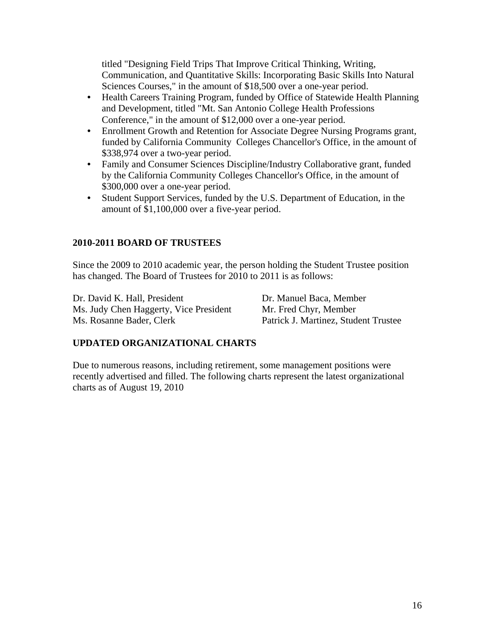titled "Designing Field Trips That Improve Critical Thinking, Writing, Communication, and Quantitative Skills: Incorporating Basic Skills Into Natural Sciences Courses," in the amount of \$18,500 over a one-year period.

- Health Careers Training Program, funded by Office of Statewide Health Planning and Development, titled "Mt. San Antonio College Health Professions Conference," in the amount of \$12,000 over a one-year period.
- Enrollment Growth and Retention for Associate Degree Nursing Programs grant, funded by California Community Colleges Chancellor's Office, in the amount of \$338,974 over a two-year period.
- Family and Consumer Sciences Discipline/Industry Collaborative grant, funded by the California Community Colleges Chancellor's Office, in the amount of \$300,000 over a one-year period.
- Student Support Services, funded by the U.S. Department of Education, in the amount of \$1,100,000 over a five-year period.

### **2010-2011 BOARD OF TRUSTEES**

Since the 2009 to 2010 academic year, the person holding the Student Trustee position has changed. The Board of Trustees for 2010 to 2011 is as follows:

Dr. David K. Hall, President Dr. Manuel Baca, Member Ms. Judy Chen Haggerty, Vice President Mr. Fred Chyr, Member Ms. Rosanne Bader, Clerk Patrick J. Martinez, Student Trustee

### **UPDATED ORGANIZATIONAL CHARTS**

Due to numerous reasons, including retirement, some management positions were recently advertised and filled. The following charts represent the latest organizational charts as of August 19, 2010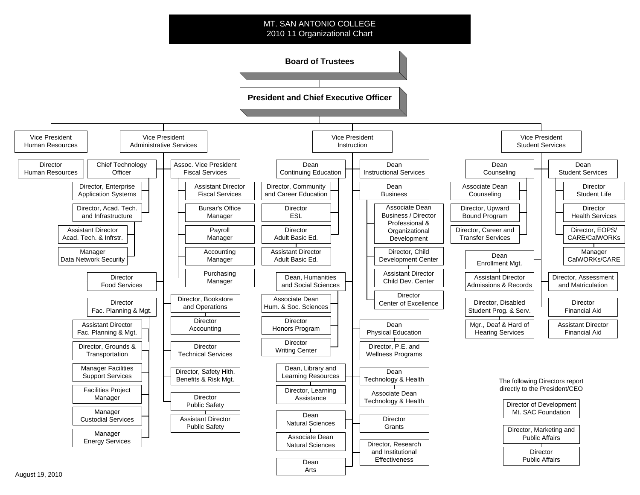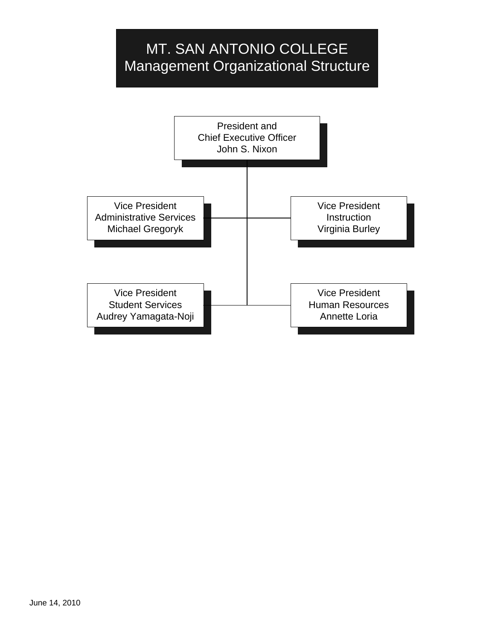# MT. SAN ANTONIO COLLEGE Management Organizational Structure

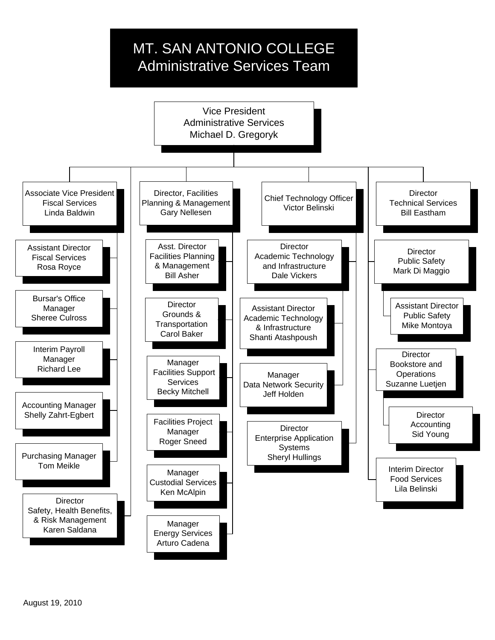# MT. SAN ANTONIO COLLEGE Administrative Services Team

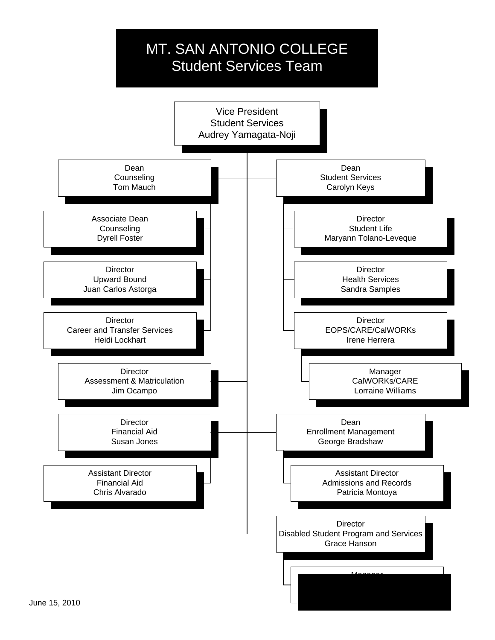# MT. SAN ANTONIO COLLEGE Student Services Team

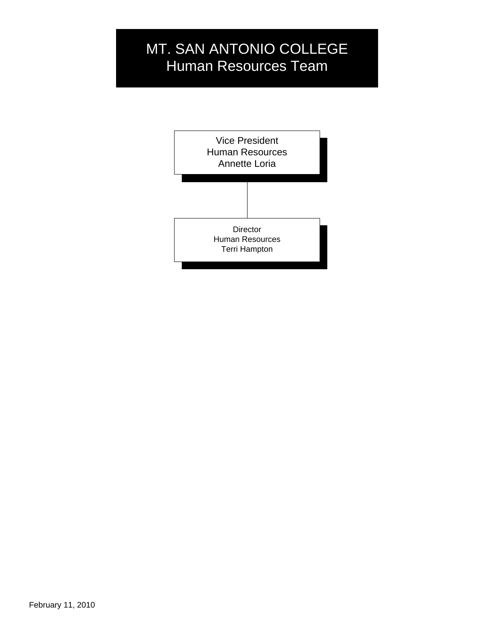# MT. SAN ANTONIO COLLEGE Human Resources Team

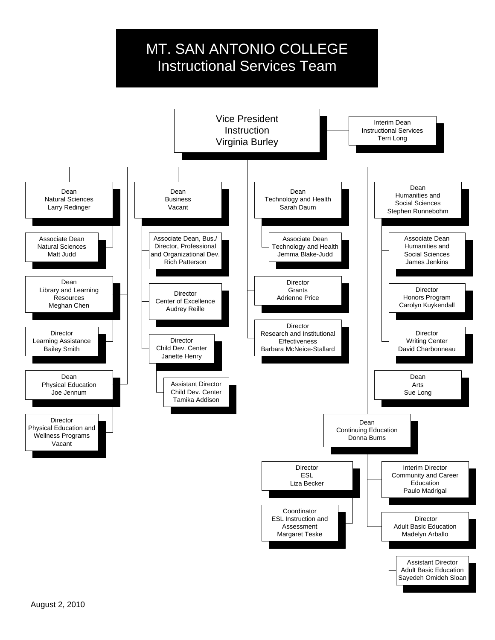# MT. SAN ANTONIO COLLEGE Instructional Services Team